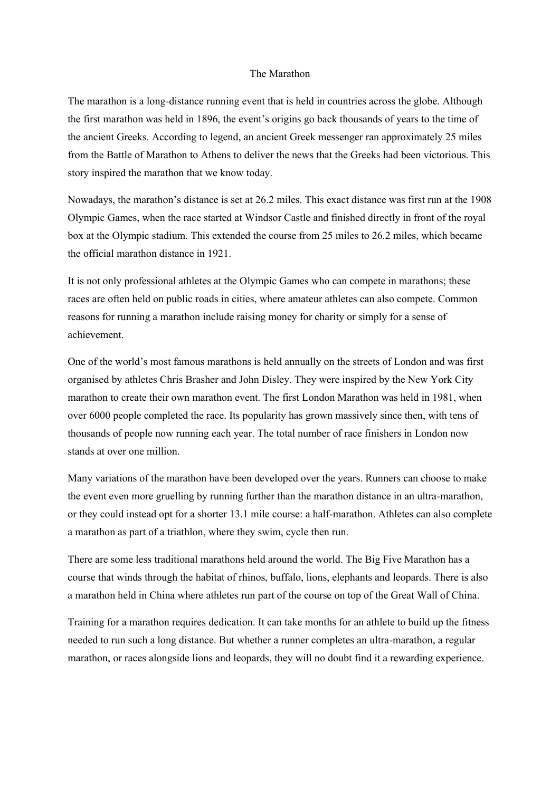## The Marathon

The marathon is a long-distance running event that is held in countries across the globe. Although the first marathon was held in 1896, the event's origins go back thousands of years to the time of the ancient Greeks. According to legend, an ancient Greek messenger ran approximately 25 miles from the Battle of Marathon to Athens to deliver the news that the Greeks had been victorious. This story inspired the marathon that we know today.

Nowadays, the marathon's distance is set at 26.2 miles. This exact distance was first run at the 1908 Olympic Games, when the race started at Windsor Castle and finished directly in front of the royal box at the Olympic stadium. This extended the course from 25 miles to 26.2 miles, which became the official marathon distance in 1921.

It is not only professional athletes at the Olympic Games who can compete in marathons; these races are often held on public roads in cities, where amateur athletes can also compete. Common reasons for running a marathon include raising money for charity or simply for a sense of achievement.

One of the world's most famous marathons is held annually on the streets of London and was first organised by athletes Chris Brasher and John Disley. They were inspired by the New York City marathon to create their own marathon event. The first London Marathon was held in 1981, when over 6000 people completed the race. Its popularity has grown massively since then, with tens of thousands of people now running each year. The total number of race finishers in London now stands at over one million.

Many variations of the marathon have been developed over the years. Runners can choose to make the event even more gruelling by running further than the marathon distance in an ultra-marathon, or they could instead opt for a shorter 13.1 mile course: a half-marathon. Athletes can also complete a marathon as part of a triathlon, where they swim, cycle then run.

There are some less traditional marathons held around the world. The Big Five Marathon has a course that winds through the habitat of rhinos, buffalo, lions, elephants and leopards. There is also a marathon held in China where athletes run part of the course on top of the Great Wall of China.

Training for a marathon requires dedication. It can take months for an athlete to build up the fitness needed to run such a long distance. But whether a runner completes an ultra-marathon, a regular marathon, or races alongside lions and leopards, they will no doubt find it a rewarding experience.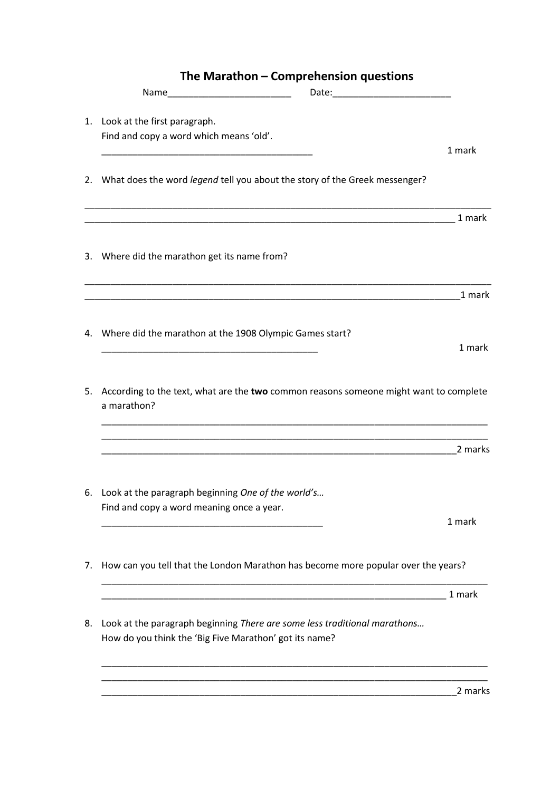|    | The Iviarathon – Comprenension questions                                                                                               |         |
|----|----------------------------------------------------------------------------------------------------------------------------------------|---------|
|    |                                                                                                                                        |         |
|    | 1. Look at the first paragraph.                                                                                                        |         |
|    | Find and copy a word which means 'old'.                                                                                                |         |
|    |                                                                                                                                        | 1 mark  |
|    | 2. What does the word legend tell you about the story of the Greek messenger?                                                          |         |
|    |                                                                                                                                        |         |
|    | 3. Where did the marathon get its name from?                                                                                           |         |
|    |                                                                                                                                        | 1 mark  |
|    |                                                                                                                                        |         |
|    | 4. Where did the marathon at the 1908 Olympic Games start?                                                                             |         |
|    |                                                                                                                                        | 1 mark  |
|    | 5. According to the text, what are the two common reasons someone might want to complete<br>a marathon?                                |         |
|    |                                                                                                                                        | 2 marks |
|    | 6. Look at the paragraph beginning One of the world's<br>Find and copy a word meaning once a year.                                     | 1 mark  |
| 7. | How can you tell that the London Marathon has become more popular over the years?                                                      |         |
|    |                                                                                                                                        | 1 mark  |
|    | 8. Look at the paragraph beginning There are some less traditional marathons<br>How do you think the 'Big Five Marathon' got its name? |         |
|    |                                                                                                                                        | 2 marks |
|    |                                                                                                                                        |         |

## **The Marathon – Comprehension questions**